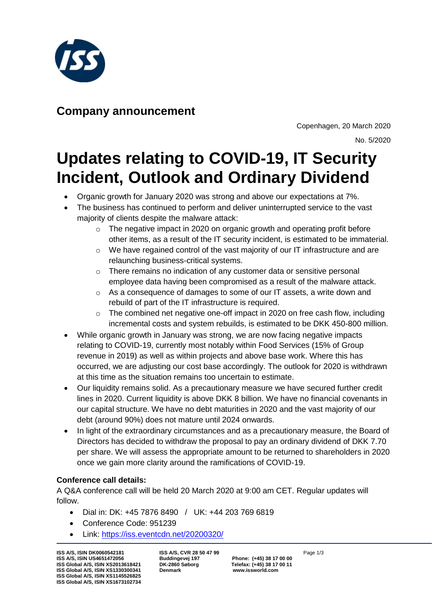

## **Company announcement**

Copenhagen, 20 March 2020 No. 5/2020

# **Updates relating to COVID-19, IT Security Incident, Outlook and Ordinary Dividend**

- Organic growth for January 2020 was strong and above our expectations at 7%.
- The business has continued to perform and deliver uninterrupted service to the vast majority of clients despite the malware attack:
	- $\circ$  The negative impact in 2020 on organic growth and operating profit before other items, as a result of the IT security incident, is estimated to be immaterial.
	- o We have regained control of the vast majority of our IT infrastructure and are relaunching business-critical systems.
	- $\circ$  There remains no indication of any customer data or sensitive personal employee data having been compromised as a result of the malware attack.
	- o As a consequence of damages to some of our IT assets, a write down and rebuild of part of the IT infrastructure is required.
	- o The combined net negative one-off impact in 2020 on free cash flow, including incremental costs and system rebuilds, is estimated to be DKK 450-800 million.
- While organic growth in January was strong, we are now facing negative impacts relating to COVID-19, currently most notably within Food Services (15% of Group revenue in 2019) as well as within projects and above base work. Where this has occurred, we are adjusting our cost base accordingly. The outlook for 2020 is withdrawn at this time as the situation remains too uncertain to estimate.
- Our liquidity remains solid. As a precautionary measure we have secured further credit lines in 2020. Current liquidity is above DKK 8 billion. We have no financial covenants in our capital structure. We have no debt maturities in 2020 and the vast majority of our debt (around 90%) does not mature until 2024 onwards.
- In light of the extraordinary circumstances and as a precautionary measure, the Board of Directors has decided to withdraw the proposal to pay an ordinary dividend of DKK 7.70 per share. We will assess the appropriate amount to be returned to shareholders in 2020 once we gain more clarity around the ramifications of COVID-19.

### **Conference call details:**

A Q&A conference call will be held 20 March 2020 at 9:00 am CET. Regular updates will follow.

- Dial in: DK: +45 7876 8490 / UK: +44 203 769 6819
- Conference Code: 951239
- Link:<https://iss.eventcdn.net/20200320/>

**ISS A/S, ISIN DK0060542181 ISS A/S, CVR 28 50 47 99 Page 1/3** Page 1/3<br>**ISS A/S, ISIN US4651472056 Buddingevej 197 Phone: (+45) 38 17 00 00 ISS A/S, ISIN US4651472056 Buddingevej 197 Phone: (+45) 38 17 00 00 ISS Global A/S, ISIN XS2013618421 DK-2860 Søborg Telefax: (+45) 38 17 00 11 ISS Global A/S, ISIN XS1330300341 ISS Global A/S, ISIN XS1145526825 ISS Global A/S, ISIN XS1673102734**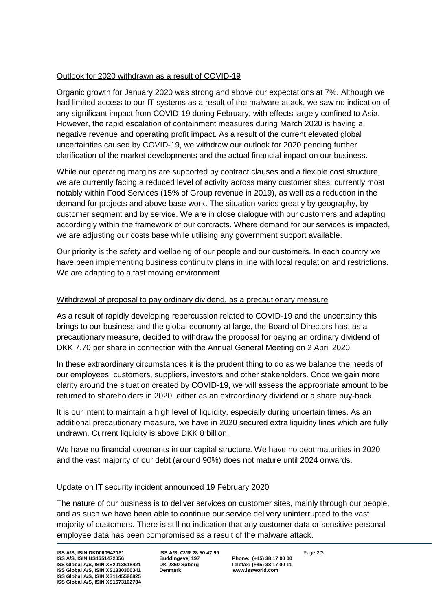#### Outlook for 2020 withdrawn as a result of COVID-19

Organic growth for January 2020 was strong and above our expectations at 7%. Although we had limited access to our IT systems as a result of the malware attack, we saw no indication of any significant impact from COVID-19 during February, with effects largely confined to Asia. However, the rapid escalation of containment measures during March 2020 is having a negative revenue and operating profit impact. As a result of the current elevated global uncertainties caused by COVID-19, we withdraw our outlook for 2020 pending further clarification of the market developments and the actual financial impact on our business.

While our operating margins are supported by contract clauses and a flexible cost structure, we are currently facing a reduced level of activity across many customer sites, currently most notably within Food Services (15% of Group revenue in 2019), as well as a reduction in the demand for projects and above base work. The situation varies greatly by geography, by customer segment and by service. We are in close dialogue with our customers and adapting accordingly within the framework of our contracts. Where demand for our services is impacted, we are adjusting our costs base while utilising any government support available.

Our priority is the safety and wellbeing of our people and our customers. In each country we have been implementing business continuity plans in line with local regulation and restrictions. We are adapting to a fast moving environment.

#### Withdrawal of proposal to pay ordinary dividend, as a precautionary measure

As a result of rapidly developing repercussion related to COVID-19 and the uncertainty this brings to our business and the global economy at large, the Board of Directors has, as a precautionary measure, decided to withdraw the proposal for paying an ordinary dividend of DKK 7.70 per share in connection with the Annual General Meeting on 2 April 2020.

In these extraordinary circumstances it is the prudent thing to do as we balance the needs of our employees, customers, suppliers, investors and other stakeholders. Once we gain more clarity around the situation created by COVID-19, we will assess the appropriate amount to be returned to shareholders in 2020, either as an extraordinary dividend or a share buy-back.

It is our intent to maintain a high level of liquidity, especially during uncertain times. As an additional precautionary measure, we have in 2020 secured extra liquidity lines which are fully undrawn. Current liquidity is above DKK 8 billion.

We have no financial covenants in our capital structure. We have no debt maturities in 2020 and the vast majority of our debt (around 90%) does not mature until 2024 onwards.

#### Update on IT security incident announced 19 February 2020

The nature of our business is to deliver services on customer sites, mainly through our people, and as such we have been able to continue our service delivery uninterrupted to the vast majority of customers. There is still no indication that any customer data or sensitive personal employee data has been compromised as a result of the malware attack.